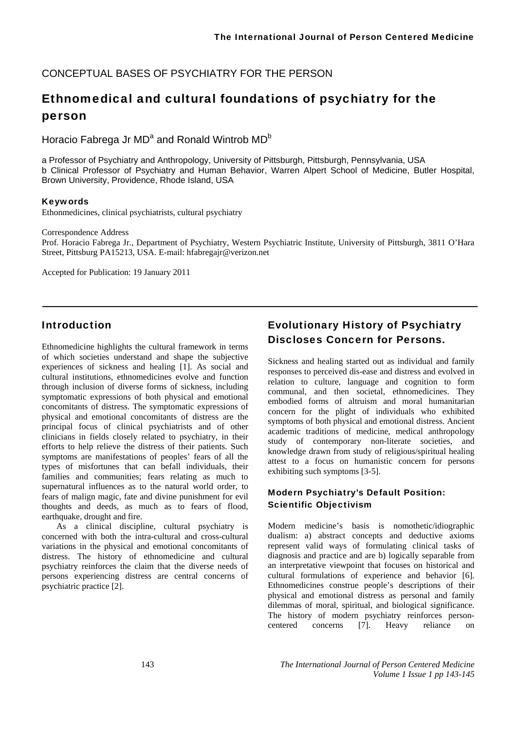CONCEPTUAL BASES OF PSYCHIATRY FOR THE PERSON

# Ethnomedical and cultural foundations of psychiatry for the person

Horacio Fabrega Jr MD<sup>a</sup> and Ronald Wintrob MD<sup>b</sup>

a Professor of Psychiatry and Anthropology, University of Pittsburgh, Pittsburgh, Pennsylvania, USA b Clinical Professor of Psychiatry and Human Behavior, Warren Alpert School of Medicine, Butler Hospital, Brown University, Providence, Rhode Island, USA

#### Keywords

Ethonmedicines, clinical psychiatrists, cultural psychiatry

Correspondence Address

Prof. Horacio Fabrega Jr., Department of Psychiatry, Western Psychiatric Institute, University of Pittsburgh, 3811 O'Hara Street, Pittsburg PA15213, USA. E-mail: hfabregajr@verizon.net

Accepted for Publication: 19 January 2011

# Introduction

Ethnomedicine highlights the cultural framework in terms of which societies understand and shape the subjective experiences of sickness and healing [1]. As social and cultural institutions, ethnomedicines evolve and function through inclusion of diverse forms of sickness, including symptomatic expressions of both physical and emotional concomitants of distress. The symptomatic expressions of physical and emotional concomitants of distress are the principal focus of clinical psychiatrists and of other clinicians in fields closely related to psychiatry, in their efforts to help relieve the distress of their patients. Such symptoms are manifestations of peoples' fears of all the types of misfortunes that can befall individuals, their families and communities; fears relating as much to supernatural influences as to the natural world order, to fears of malign magic, fate and divine punishment for evil thoughts and deeds, as much as to fears of flood, earthquake, drought and fire.

As a clinical discipline, cultural psychiatry is concerned with both the intra-cultural and cross-cultural variations in the physical and emotional concomitants of distress. The history of ethnomedicine and cultural psychiatry reinforces the claim that the diverse needs of persons experiencing distress are central concerns of psychiatric practice [2].

# Evolutionary History of Psychiatry Discloses Concern for Persons.

Sickness and healing started out as individual and family responses to perceived dis-ease and distress and evolved in relation to culture, language and cognition to form communal, and then societal, ethnomedicines. They embodied forms of altruism and moral humanitarian concern for the plight of individuals who exhibited symptoms of both physical and emotional distress. Ancient academic traditions of medicine, medical anthropology study of contemporary non-literate societies, and knowledge drawn from study of religious/spiritual healing attest to a focus on humanistic concern for persons exhibiting such symptoms [3-5].

### Modern Psychiatry's Default Position: Scientific Objectivism

Modern medicine's basis is nomothetic/idiographic dualism: a) abstract concepts and deductive axioms represent valid ways of formulating clinical tasks of diagnosis and practice and are b) logically separable from an interpretative viewpoint that focuses on historical and cultural formulations of experience and behavior [6]. Ethnomedicines construe people's descriptions of their physical and emotional distress as personal and family dilemmas of moral, spiritual, and biological significance. The history of modern psychiatry reinforces personcentered concerns [7]. Heavy reliance on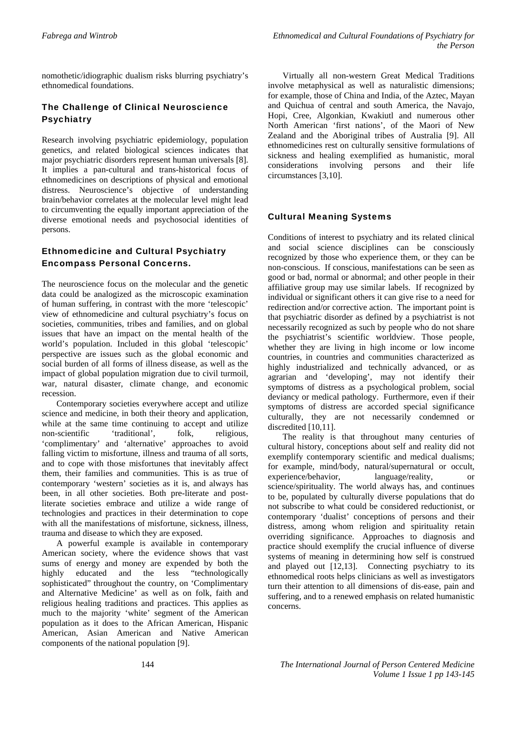nomothetic/idiographic dualism risks blurring psychiatry's ethnomedical foundations.

#### The Challenge of Clinical Neuroscience **Psychiatry**

Research involving psychiatric epidemiology, population genetics, and related biological sciences indicates that major psychiatric disorders represent human universals [8]. It implies a pan-cultural and trans-historical focus of ethnomedicines on descriptions of physical and emotional distress. Neuroscience's objective of understanding brain/behavior correlates at the molecular level might lead to circumventing the equally important appreciation of the diverse emotional needs and psychosocial identities of persons.

#### Ethnomedicine and Cultural Psychiatry Encompass Personal Concerns.

The neuroscience focus on the molecular and the genetic data could be analogized as the microscopic examination of human suffering, in contrast with the more 'telescopic' view of ethnomedicine and cultural psychiatry's focus on societies, communities, tribes and families, and on global issues that have an impact on the mental health of the world's population. Included in this global 'telescopic' perspective are issues such as the global economic and social burden of all forms of illness disease, as well as the impact of global population migration due to civil turmoil, war, natural disaster, climate change, and economic recession.

Contemporary societies everywhere accept and utilize science and medicine, in both their theory and application, while at the same time continuing to accept and utilize non-scientific 'traditional', folk, religious, 'complimentary' and 'alternative' approaches to avoid falling victim to misfortune, illness and trauma of all sorts, and to cope with those misfortunes that inevitably affect them, their families and communities. This is as true of contemporary 'western' societies as it is, and always has been, in all other societies. Both pre-literate and postliterate societies embrace and utilize a wide range of technologies and practices in their determination to cope with all the manifestations of misfortune, sickness, illness, trauma and disease to which they are exposed.

A powerful example is available in contemporary American society, where the evidence shows that vast sums of energy and money are expended by both the highly educated and the less "technologically sophisticated" throughout the country, on 'Complimentary and Alternative Medicine' as well as on folk, faith and religious healing traditions and practices. This applies as much to the majority 'white' segment of the American population as it does to the African American, Hispanic American, Asian American and Native American components of the national population [9].

Virtually all non-western Great Medical Traditions involve metaphysical as well as naturalistic dimensions; for example, those of China and India, of the Aztec, Mayan and Quichua of central and south America, the Navajo, Hopi, Cree, Algonkian, Kwakiutl and numerous other North American 'first nations', of the Maori of New Zealand and the Aboriginal tribes of Australia [9]. All ethnomedicines rest on culturally sensitive formulations of sickness and healing exemplified as humanistic, moral considerations involving persons and their life circumstances [3,10].

#### Cultural Meaning Systems

Conditions of interest to psychiatry and its related clinical and social science disciplines can be consciously recognized by those who experience them, or they can be non-conscious. If conscious, manifestations can be seen as good or bad, normal or abnormal; and other people in their affiliative group may use similar labels. If recognized by individual or significant others it can give rise to a need for redirection and/or corrective action. The important point is that psychiatric disorder as defined by a psychiatrist is not necessarily recognized as such by people who do not share the psychiatrist's scientific worldview. Those people, whether they are living in high income or low income countries, in countries and communities characterized as highly industrialized and technically advanced, or as agrarian and 'developing', may not identify their symptoms of distress as a psychological problem, social deviancy or medical pathology. Furthermore, even if their symptoms of distress are accorded special significance culturally, they are not necessarily condemned or discredited [10,11].

The reality is that throughout many centuries of cultural history, conceptions about self and reality did not exemplify contemporary scientific and medical dualisms; for example, mind/body, natural/supernatural or occult, experience/behavior, language/reality, or science/spirituality. The world always has, and continues to be, populated by culturally diverse populations that do not subscribe to what could be considered reductionist, or contemporary 'dualist' conceptions of persons and their distress, among whom religion and spirituality retain overriding significance. Approaches to diagnosis and practice should exemplify the crucial influence of diverse systems of meaning in determining how self is construed and played out [12,13]. Connecting psychiatry to its ethnomedical roots helps clinicians as well as investigators turn their attention to all dimensions of dis-ease, pain and suffering, and to a renewed emphasis on related humanistic concerns.